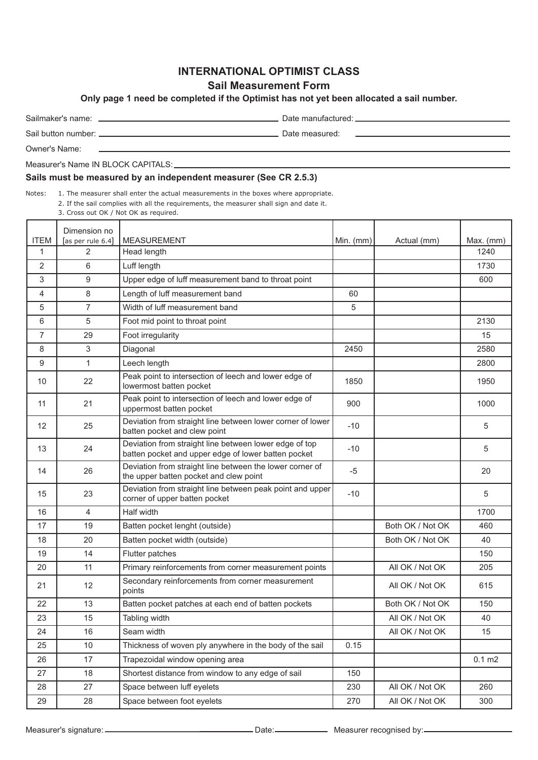# **INTERNATIONAL OPTIMIST CLASS**

### **Sail Measurement Form**

**Only page 1 need be completed if the Optimist has not yet been allocated a sail number.**

Sailmaker's name: Date manufactured:

Sail button number: Date measured:

Owner's Name:

Measurer's Name IN BLOCK CAPITALS:

#### **Sails must be measured by an independent measurer (See CR 2.5.3)**

Notes: 1. The measurer shall enter the actual measurements in the boxes where appropriate.

2. If the sail complies with all the requirements, the measurer shall sign and date it. 3. Cross out OK / Not OK as required.

|                | Dimension no      |                                                                                                               |             |                  |                    |
|----------------|-------------------|---------------------------------------------------------------------------------------------------------------|-------------|------------------|--------------------|
| <b>ITEM</b>    | [as per rule 6.4] | <b>MEASUREMENT</b>                                                                                            | Min. $(mm)$ | Actual (mm)      | $Max.$ (mm)        |
| 1              | 2                 | Head length                                                                                                   |             |                  | 1240               |
| 2              | 6                 | Luff length                                                                                                   |             |                  | 1730               |
| 3              | 9                 | Upper edge of luff measurement band to throat point                                                           |             |                  | 600                |
| 4              | 8                 | Length of luff measurement band                                                                               | 60          |                  |                    |
| 5              | $\overline{7}$    | Width of luff measurement band                                                                                | 5           |                  |                    |
| 6              | 5                 | Foot mid point to throat point                                                                                |             |                  | 2130               |
| $\overline{7}$ | 29                | Foot irregularity                                                                                             |             |                  | 15                 |
| 8              | 3                 | Diagonal                                                                                                      | 2450        |                  | 2580               |
| 9              | 1                 | Leech length                                                                                                  |             |                  | 2800               |
| 10             | 22                | Peak point to intersection of leech and lower edge of<br>lowermost batten pocket                              | 1850        |                  | 1950               |
| 11             | 21                | Peak point to intersection of leech and lower edge of<br>uppermost batten pocket                              | 900         |                  | 1000               |
| 12             | 25                | Deviation from straight line between lower corner of lower<br>batten pocket and clew point                    | $-10$       |                  | 5                  |
| 13             | 24                | Deviation from straight line between lower edge of top<br>batten pocket and upper edge of lower batten pocket | $-10$       |                  | 5                  |
| 14             | 26                | Deviation from straight line between the lower corner of<br>the upper batten pocket and clew point            | $-5$        |                  | 20                 |
| 15             | 23                | Deviation from straight line between peak point and upper<br>corner of upper batten pocket                    | $-10$       |                  | 5                  |
| 16             | $\overline{4}$    | Half width                                                                                                    |             |                  | 1700               |
| 17             | 19                | Batten pocket lenght (outside)                                                                                |             | Both OK / Not OK | 460                |
| 18             | 20                | Batten pocket width (outside)                                                                                 |             | Both OK / Not OK | 40                 |
| 19             | 14                | Flutter patches                                                                                               |             |                  | 150                |
| 20             | 11                | Primary reinforcements from corner measurement points                                                         |             | All OK / Not OK  | 205                |
| 21             | 12                | Secondary reinforcements from corner measurement<br>points                                                    |             | All OK / Not OK  | 615                |
| 22             | 13                | Batten pocket patches at each end of batten pockets                                                           |             | Both OK / Not OK | 150                |
| 23             | 15                | Tabling width                                                                                                 |             | All OK / Not OK  | 40                 |
| 24             | 16                | Seam width                                                                                                    |             | All OK / Not OK  | 15                 |
| 25             | $10$              | Thickness of woven ply anywhere in the body of the sail                                                       | 0.15        |                  |                    |
| 26             | 17                | Trapezoidal window opening area                                                                               |             |                  | $0.1 \, \text{m2}$ |
| 27             | 18                | Shortest distance from window to any edge of sail                                                             | 150         |                  |                    |
| 28             | 27                | Space between luff eyelets                                                                                    | 230         | All OK / Not OK  | 260                |
| 29             | 28                | Space between foot eyelets                                                                                    | 270         | All OK / Not OK  | 300                |